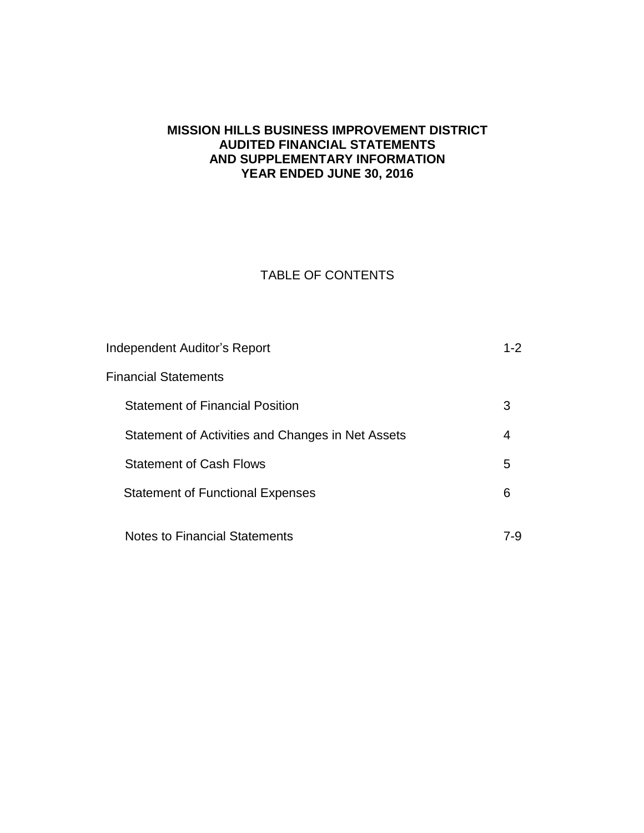# **MISSION HILLS BUSINESS IMPROVEMENT DISTRICT AUDITED FINANCIAL STATEMENTS AND SUPPLEMENTARY INFORMATION YEAR ENDED JUNE 30, 2016**

# TABLE OF CONTENTS

| Independent Auditor's Report                      | $1 - 2$ |
|---------------------------------------------------|---------|
| Financial Statements                              |         |
| <b>Statement of Financial Position</b>            | З       |
| Statement of Activities and Changes in Net Assets | 4       |
| <b>Statement of Cash Flows</b>                    | 5       |
| <b>Statement of Functional Expenses</b>           | 6       |
|                                                   |         |
| <b>Notes to Financial Statements</b>              | 7-9     |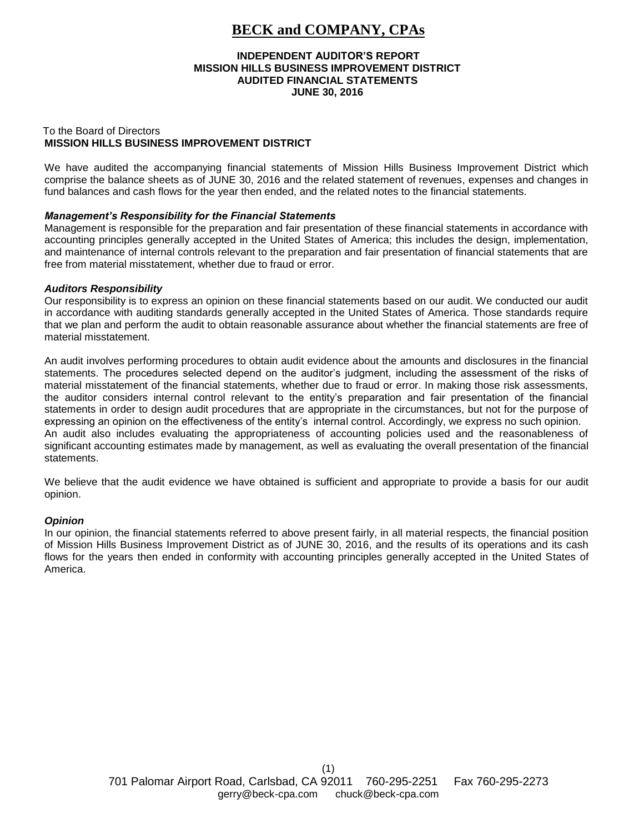# **BECK and COMPANY, CPAs**

#### **INDEPENDENT AUDITOR'S REPORT MISSION HILLS BUSINESS IMPROVEMENT DISTRICT AUDITED FINANCIAL STATEMENTS JUNE 30, 2016**

#### To the Board of Directors **MISSION HILLS BUSINESS IMPROVEMENT DISTRICT**

We have audited the accompanying financial statements of Mission Hills Business Improvement District which comprise the balance sheets as of JUNE 30, 2016 and the related statement of revenues, expenses and changes in fund balances and cash flows for the year then ended, and the related notes to the financial statements.

#### *Management's Responsibility for the Financial Statements*

Management is responsible for the preparation and fair presentation of these financial statements in accordance with accounting principles generally accepted in the United States of America; this includes the design, implementation, and maintenance of internal controls relevant to the preparation and fair presentation of financial statements that are free from material misstatement, whether due to fraud or error.

#### *Auditors Responsibility*

Our responsibility is to express an opinion on these financial statements based on our audit. We conducted our audit in accordance with auditing standards generally accepted in the United States of America. Those standards require that we plan and perform the audit to obtain reasonable assurance about whether the financial statements are free of material misstatement.

An audit involves performing procedures to obtain audit evidence about the amounts and disclosures in the financial statements. The procedures selected depend on the auditor's judgment, including the assessment of the risks of material misstatement of the financial statements, whether due to fraud or error. In making those risk assessments, the auditor considers internal control relevant to the entity's preparation and fair presentation of the financial statements in order to design audit procedures that are appropriate in the circumstances, but not for the purpose of expressing an opinion on the effectiveness of the entity's internal control. Accordingly, we express no such opinion. An audit also includes evaluating the appropriateness of accounting policies used and the reasonableness of significant accounting estimates made by management, as well as evaluating the overall presentation of the financial statements.

We believe that the audit evidence we have obtained is sufficient and appropriate to provide a basis for our audit opinion.

#### *Opinion*

In our opinion, the financial statements referred to above present fairly, in all material respects, the financial position of Mission Hills Business Improvement District as of JUNE 30, 2016, and the results of its operations and its cash flows for the years then ended in conformity with accounting principles generally accepted in the United States of America.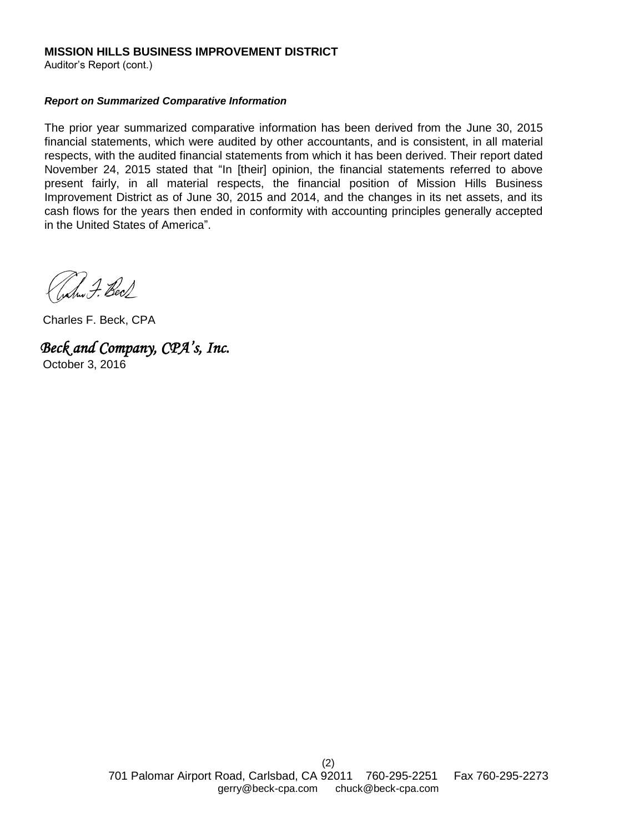### **MISSION HILLS BUSINESS IMPROVEMENT DISTRICT**

Auditor's Report (cont.)

#### *Report on Summarized Comparative Information*

The prior year summarized comparative information has been derived from the June 30, 2015 financial statements, which were audited by other accountants, and is consistent, in all material respects, with the audited financial statements from which it has been derived. Their report dated November 24, 2015 stated that "In [their] opinion, the financial statements referred to above present fairly, in all material respects, the financial position of Mission Hills Business Improvement District as of June 30, 2015 and 2014, and the changes in its net assets, and its cash flows for the years then ended in conformity with accounting principles generally accepted in the United States of America".

Juhru F. Bec/

Charles F. Beck, CPA

*Beck and Company, CPA's, Inc.*  October 3, 2016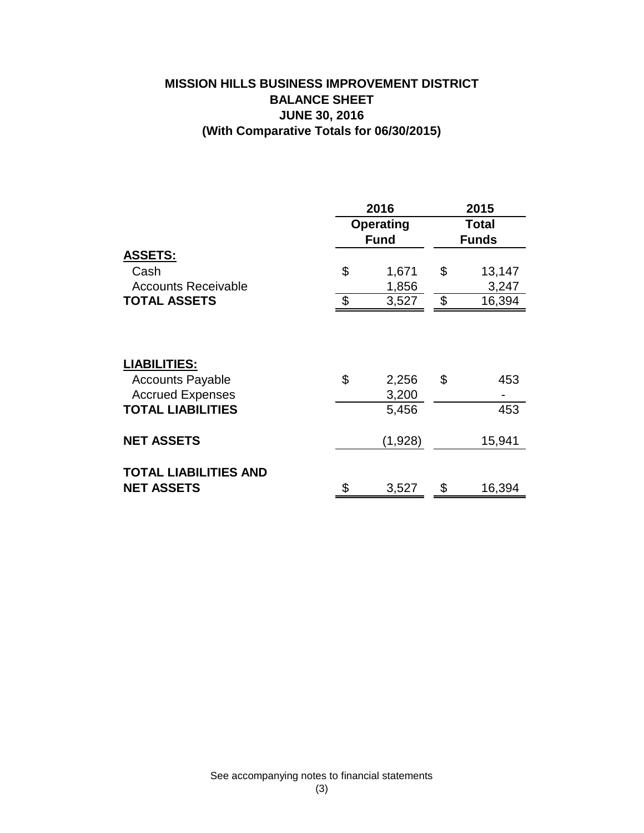# **MISSION HILLS BUSINESS IMPROVEMENT DISTRICT BALANCE SHEET JUNE 30, 2016 (With Comparative Totals for 06/30/2015)**

|                                                                                                       | 2016 |                                 |                              | 2015       |  |  |
|-------------------------------------------------------------------------------------------------------|------|---------------------------------|------------------------------|------------|--|--|
|                                                                                                       |      | <b>Operating</b><br><b>Fund</b> | <b>Total</b><br><b>Funds</b> |            |  |  |
| <u>ASSETS:</u>                                                                                        |      |                                 |                              |            |  |  |
| Cash                                                                                                  | \$   | 1,671                           | \$                           | 13,147     |  |  |
| <b>Accounts Receivable</b>                                                                            |      | 1,856                           |                              | 3,247      |  |  |
| <b>TOTAL ASSETS</b>                                                                                   | \$   | 3,527                           | \$                           | 16,394     |  |  |
| <b>LIABILITIES:</b><br><b>Accounts Payable</b><br><b>Accrued Expenses</b><br><b>TOTAL LIABILITIES</b> | \$   | 2,256<br>3,200<br>5,456         | \$                           | 453<br>453 |  |  |
|                                                                                                       |      |                                 |                              |            |  |  |
| <b>NET ASSETS</b>                                                                                     |      | (1,928)                         |                              | 15,941     |  |  |
| <b>TOTAL LIABILITIES AND</b><br><b>NET ASSETS</b>                                                     | \$   | 3,527                           | \$                           | 16,394     |  |  |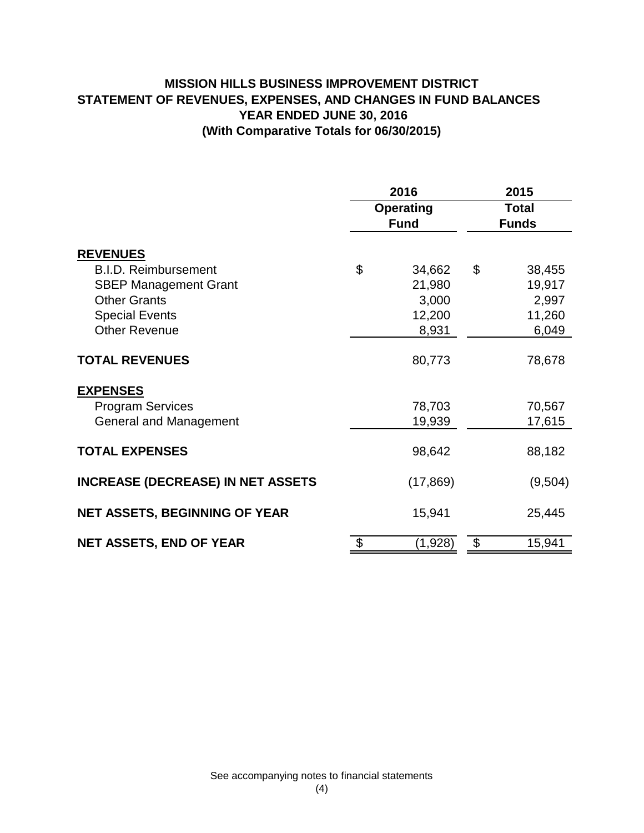# **MISSION HILLS BUSINESS IMPROVEMENT DISTRICT STATEMENT OF REVENUES, EXPENSES, AND CHANGES IN FUND BALANCES YEAR ENDED JUNE 30, 2016 (With Comparative Totals for 06/30/2015)**

|                                          | 2016             | 2015<br><b>Total</b><br><b>Funds</b> |         |  |
|------------------------------------------|------------------|--------------------------------------|---------|--|
|                                          | <b>Operating</b> |                                      |         |  |
|                                          | <b>Fund</b>      |                                      |         |  |
| <b>REVENUES</b>                          |                  |                                      |         |  |
| <b>B.I.D. Reimbursement</b>              | \$<br>34,662     | \$                                   | 38,455  |  |
| <b>SBEP Management Grant</b>             | 21,980           |                                      | 19,917  |  |
| <b>Other Grants</b>                      | 3,000            |                                      | 2,997   |  |
| <b>Special Events</b>                    | 12,200           |                                      | 11,260  |  |
| <b>Other Revenue</b>                     | 8,931            |                                      | 6,049   |  |
| <b>TOTAL REVENUES</b>                    | 80,773           |                                      | 78,678  |  |
| <b>EXPENSES</b>                          |                  |                                      |         |  |
| <b>Program Services</b>                  | 78,703           |                                      | 70,567  |  |
| <b>General and Management</b>            | 19,939           |                                      | 17,615  |  |
| <b>TOTAL EXPENSES</b>                    | 98,642           |                                      | 88,182  |  |
| <b>INCREASE (DECREASE) IN NET ASSETS</b> | (17, 869)        |                                      | (9,504) |  |
| <b>NET ASSETS, BEGINNING OF YEAR</b>     | 15,941           |                                      | 25,445  |  |
| <b>NET ASSETS, END OF YEAR</b>           | \$<br>(1,928)    | \$                                   | 15,941  |  |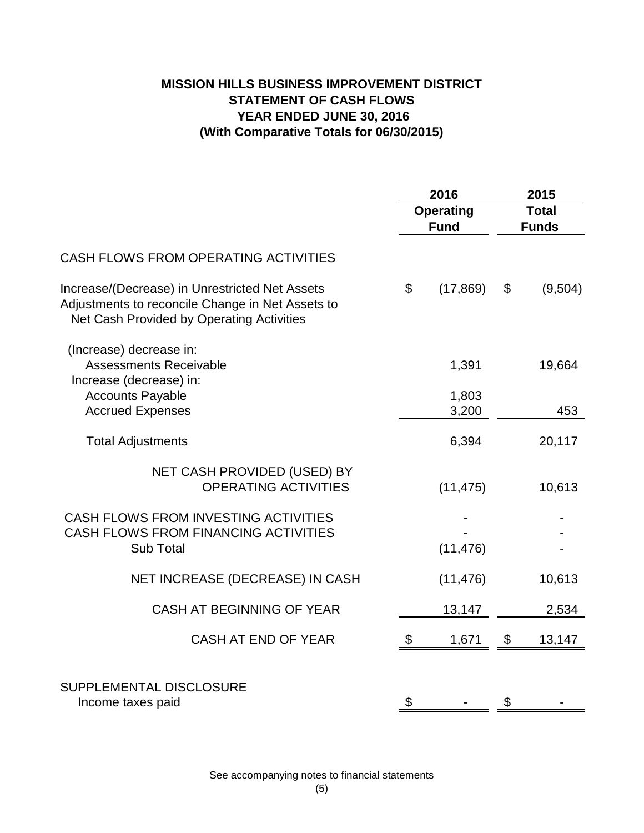# **MISSION HILLS BUSINESS IMPROVEMENT DISTRICT STATEMENT OF CASH FLOWS YEAR ENDED JUNE 30, 2016 (With Comparative Totals for 06/30/2015)**

|                                                                                                                                                 | 2016                            |                | 2015                         |         |
|-------------------------------------------------------------------------------------------------------------------------------------------------|---------------------------------|----------------|------------------------------|---------|
|                                                                                                                                                 | <b>Operating</b><br><b>Fund</b> |                | <b>Total</b><br><b>Funds</b> |         |
| <b>CASH FLOWS FROM OPERATING ACTIVITIES</b>                                                                                                     |                                 |                |                              |         |
| Increase/(Decrease) in Unrestricted Net Assets<br>Adjustments to reconcile Change in Net Assets to<br>Net Cash Provided by Operating Activities | \$                              | (17, 869)      | \$                           | (9,504) |
| (Increase) decrease in:<br><b>Assessments Receivable</b><br>Increase (decrease) in:                                                             |                                 | 1,391          |                              | 19,664  |
| <b>Accounts Payable</b><br><b>Accrued Expenses</b>                                                                                              |                                 | 1,803<br>3,200 |                              | 453     |
| <b>Total Adjustments</b>                                                                                                                        |                                 | 6,394          |                              | 20,117  |
| NET CASH PROVIDED (USED) BY<br><b>OPERATING ACTIVITIES</b>                                                                                      |                                 | (11, 475)      |                              | 10,613  |
| CASH FLOWS FROM INVESTING ACTIVITIES<br><b>CASH FLOWS FROM FINANCING ACTIVITIES</b><br>Sub Total                                                |                                 | (11, 476)      |                              |         |
| NET INCREASE (DECREASE) IN CASH                                                                                                                 |                                 | (11, 476)      |                              | 10,613  |
| CASH AT BEGINNING OF YEAR                                                                                                                       |                                 | 13,147         |                              | 2,534   |
| CASH AT END OF YEAR                                                                                                                             | \$                              | 1,671          | \$                           | 13,147  |
| SUPPLEMENTAL DISCLOSURE<br>Income taxes paid                                                                                                    | \$                              |                | \$                           |         |

See accompanying notes to financial statements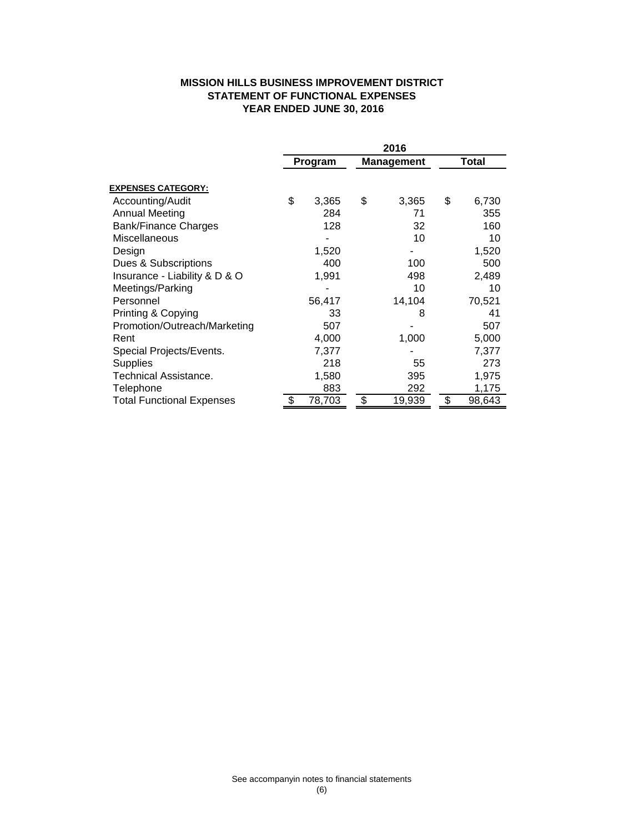## **MISSION HILLS BUSINESS IMPROVEMENT DISTRICT STATEMENT OF FUNCTIONAL EXPENSES YEAR ENDED JUNE 30, 2016**

|                                  | 2016    |        |            |        |       |        |
|----------------------------------|---------|--------|------------|--------|-------|--------|
|                                  | Program |        | Management |        | Total |        |
| <b>EXPENSES CATEGORY:</b>        |         |        |            |        |       |        |
| Accounting/Audit                 | \$      | 3,365  | \$         | 3,365  | \$    | 6,730  |
| <b>Annual Meeting</b>            |         | 284    |            | 71     |       | 355    |
| Bank/Finance Charges             |         | 128    |            | 32     |       | 160    |
| Miscellaneous                    |         |        |            | 10     |       | 10     |
| Design                           |         | 1,520  |            |        |       | 1,520  |
| Dues & Subscriptions             |         | 400    |            | 100    |       | 500    |
| Insurance - Liability & D & O    |         | 1,991  |            | 498    |       | 2,489  |
| Meetings/Parking                 |         |        |            | 10     |       | 10     |
| Personnel                        |         | 56,417 |            | 14,104 |       | 70,521 |
| Printing & Copying               |         | 33     |            | 8      |       | 41     |
| Promotion/Outreach/Marketing     |         | 507    |            |        |       | 507    |
| Rent                             |         | 4,000  |            | 1,000  |       | 5,000  |
| Special Projects/Events.         |         | 7,377  |            |        |       | 7,377  |
| <b>Supplies</b>                  |         | 218    |            | 55     |       | 273    |
| Technical Assistance.            |         | 1,580  |            | 395    |       | 1,975  |
| Telephone                        |         | 883    |            | 292    |       | 1,175  |
| <b>Total Functional Expenses</b> | S       | 78,703 | \$         | 19,939 | \$    | 98,643 |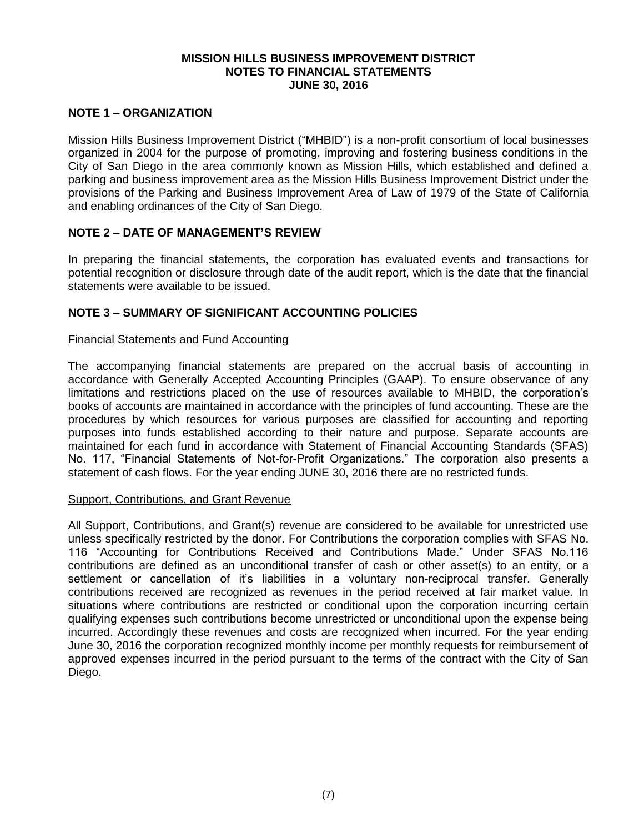### **MISSION HILLS BUSINESS IMPROVEMENT DISTRICT NOTES TO FINANCIAL STATEMENTS JUNE 30, 2016**

## **NOTE 1 – ORGANIZATION**

Mission Hills Business Improvement District ("MHBID") is a non-profit consortium of local businesses organized in 2004 for the purpose of promoting, improving and fostering business conditions in the City of San Diego in the area commonly known as Mission Hills, which established and defined a parking and business improvement area as the Mission Hills Business Improvement District under the provisions of the Parking and Business Improvement Area of Law of 1979 of the State of California and enabling ordinances of the City of San Diego.

# **NOTE 2 – DATE OF MANAGEMENT'S REVIEW**

In preparing the financial statements, the corporation has evaluated events and transactions for potential recognition or disclosure through date of the audit report, which is the date that the financial statements were available to be issued.

# **NOTE 3 – SUMMARY OF SIGNIFICANT ACCOUNTING POLICIES**

### Financial Statements and Fund Accounting

The accompanying financial statements are prepared on the accrual basis of accounting in accordance with Generally Accepted Accounting Principles (GAAP). To ensure observance of any limitations and restrictions placed on the use of resources available to MHBID, the corporation's books of accounts are maintained in accordance with the principles of fund accounting. These are the procedures by which resources for various purposes are classified for accounting and reporting purposes into funds established according to their nature and purpose. Separate accounts are maintained for each fund in accordance with Statement of Financial Accounting Standards (SFAS) No. 117, "Financial Statements of Not-for-Profit Organizations." The corporation also presents a statement of cash flows. For the year ending JUNE 30, 2016 there are no restricted funds.

#### Support, Contributions, and Grant Revenue

All Support, Contributions, and Grant(s) revenue are considered to be available for unrestricted use unless specifically restricted by the donor. For Contributions the corporation complies with SFAS No. 116 "Accounting for Contributions Received and Contributions Made." Under SFAS No.116 contributions are defined as an unconditional transfer of cash or other asset(s) to an entity, or a settlement or cancellation of it's liabilities in a voluntary non-reciprocal transfer. Generally contributions received are recognized as revenues in the period received at fair market value. In situations where contributions are restricted or conditional upon the corporation incurring certain qualifying expenses such contributions become unrestricted or unconditional upon the expense being incurred. Accordingly these revenues and costs are recognized when incurred. For the year ending June 30, 2016 the corporation recognized monthly income per monthly requests for reimbursement of approved expenses incurred in the period pursuant to the terms of the contract with the City of San Diego.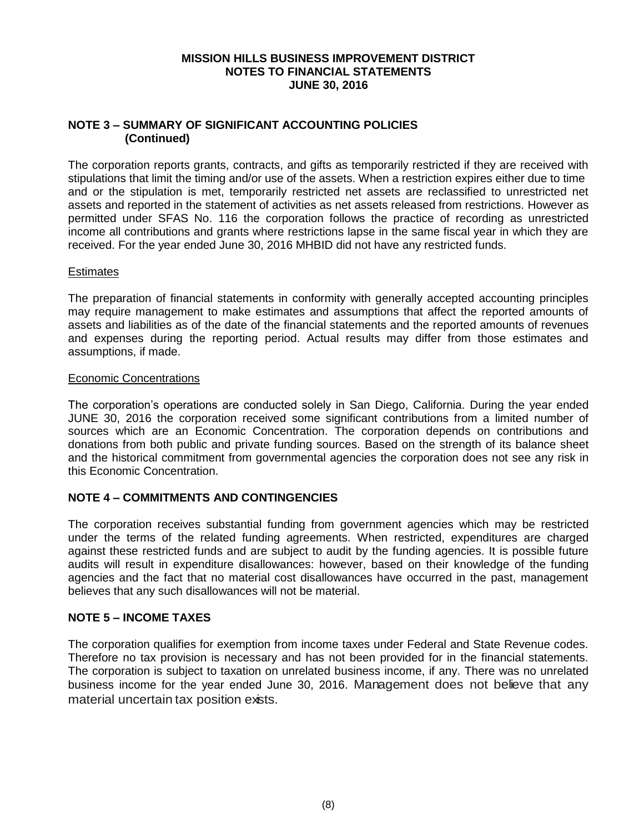### **MISSION HILLS BUSINESS IMPROVEMENT DISTRICT NOTES TO FINANCIAL STATEMENTS JUNE 30, 2016**

## **NOTE 3 – SUMMARY OF SIGNIFICANT ACCOUNTING POLICIES (Continued)**

The corporation reports grants, contracts, and gifts as temporarily restricted if they are received with stipulations that limit the timing and/or use of the assets. When a restriction expires either due to time and or the stipulation is met, temporarily restricted net assets are reclassified to unrestricted net assets and reported in the statement of activities as net assets released from restrictions. However as permitted under SFAS No. 116 the corporation follows the practice of recording as unrestricted income all contributions and grants where restrictions lapse in the same fiscal year in which they are received. For the year ended June 30, 2016 MHBID did not have any restricted funds.

### **Estimates**

The preparation of financial statements in conformity with generally accepted accounting principles may require management to make estimates and assumptions that affect the reported amounts of assets and liabilities as of the date of the financial statements and the reported amounts of revenues and expenses during the reporting period. Actual results may differ from those estimates and assumptions, if made.

### Economic Concentrations

The corporation's operations are conducted solely in San Diego, California. During the year ended JUNE 30, 2016 the corporation received some significant contributions from a limited number of sources which are an Economic Concentration. The corporation depends on contributions and donations from both public and private funding sources. Based on the strength of its balance sheet and the historical commitment from governmental agencies the corporation does not see any risk in this Economic Concentration.

# **NOTE 4 – COMMITMENTS AND CONTINGENCIES**

The corporation receives substantial funding from government agencies which may be restricted under the terms of the related funding agreements. When restricted, expenditures are charged against these restricted funds and are subject to audit by the funding agencies. It is possible future audits will result in expenditure disallowances: however, based on their knowledge of the funding agencies and the fact that no material cost disallowances have occurred in the past, management believes that any such disallowances will not be material.

## **NOTE 5 – INCOME TAXES**

The corporation qualifies for exemption from income taxes under Federal and State Revenue codes. Therefore no tax provision is necessary and has not been provided for in the financial statements. The corporation is subject to taxation on unrelated business income, if any. There was no unrelated business income for the year ended June 30, 2016. Management does not believe that any material uncertain tax position exists.